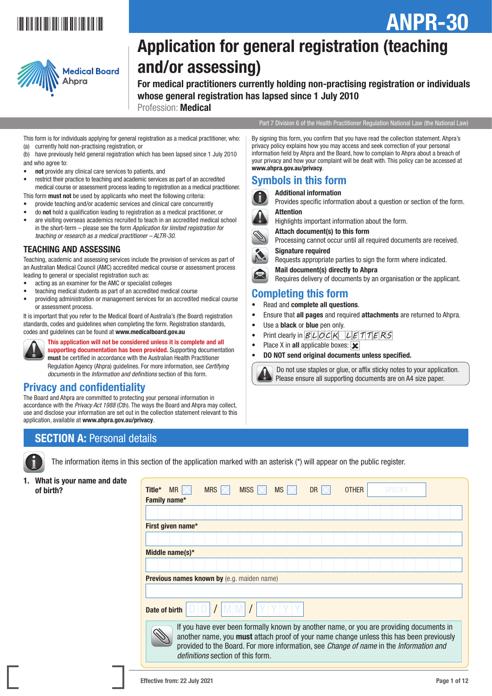# \*ANPR-301\*



# Application for general registration (teaching and/or assessing)

For medical practitioners currently holding non-practising registration or individuals whose general registration has lapsed since 1 July 2010 Profession: Medical

Part 7 Division 6 of the Health Practitioner Regulation National Law (the National Law)

ANPR-30

This form is for individuals applying for general registration as a medical practitioner, who: (a) currently hold non-practising registration, or

(b) have previously held general registration which has been lapsed since 1 July 2010 and who agree to:

- not provide any clinical care services to patients, and
- restrict their practice to teaching and academic services as part of an accredited medical course or assessment process leading to registration as a medical practitioner.
- This form **must not** be used by applicants who meet the following criteria: • provide teaching and/or academic services and clinical care concurrently
- do not hold a qualification leading to registration as a medical practitioner, or
- are visiting overseas academics recruited to teach in an accredited medical school in the short-term – please see the form *Application for limited registration for teaching or research as a medical practitioner – ALTR-30*.

### TEACHING AND ASSESSING

Teaching, academic and assessing services include the provision of services as part of an Australian Medical Council (AMC) accredited medical course or assessment process leading to general or specialist registration such as:

- acting as an examiner for the AMC or specialist colleges
- teaching medical students as part of an accredited medical course
- providing administration or management services for an accredited medical course or assessment process.

It is important that you refer to the Medical Board of Australia's (the Board) registration standards, codes and guidelines when completing the form. Registration standards, codes and guidelines can be found at www.medicalboard.gov.au



This application will not be considered unless it is complete and all supporting documentation has been provided. Supporting documentation must be certified in accordance with the Australian Health Practitioner Regulation Agency (Ahpra) guidelines. For more information, see *Certifying documents* in the *Information and definitions* section of this form.

## Privacy and confidentiality

1. What is your name and date

The Board and Ahpra are committed to protecting your personal information in accordance with the *Privacy Act 1988* (Cth). The ways the Board and Ahpra may collect, use and disclose your information are set out in the collection statement relevant to this application, available at www.ahpra.gov.au/privacy.

# **SECTION A: Personal details**



The information items in this section of the application marked with an asterisk (\*) will appear on the public register.

| $MR \times$<br>MISS  <br><b>MS</b><br><b>SPECIFY</b><br><b>MRS</b><br><b>DR</b><br><b>OTHER</b><br>Title*<br>Family name*                                                                                                                                                                                         |  |  |  |  |  |  |  |  |  |  |  |  |  |
|-------------------------------------------------------------------------------------------------------------------------------------------------------------------------------------------------------------------------------------------------------------------------------------------------------------------|--|--|--|--|--|--|--|--|--|--|--|--|--|
|                                                                                                                                                                                                                                                                                                                   |  |  |  |  |  |  |  |  |  |  |  |  |  |
| First given name*                                                                                                                                                                                                                                                                                                 |  |  |  |  |  |  |  |  |  |  |  |  |  |
|                                                                                                                                                                                                                                                                                                                   |  |  |  |  |  |  |  |  |  |  |  |  |  |
| Middle name(s)*                                                                                                                                                                                                                                                                                                   |  |  |  |  |  |  |  |  |  |  |  |  |  |
|                                                                                                                                                                                                                                                                                                                   |  |  |  |  |  |  |  |  |  |  |  |  |  |
| <b>Previous names known by</b> (e.g. maiden name)                                                                                                                                                                                                                                                                 |  |  |  |  |  |  |  |  |  |  |  |  |  |
|                                                                                                                                                                                                                                                                                                                   |  |  |  |  |  |  |  |  |  |  |  |  |  |
| Date of birth                                                                                                                                                                                                                                                                                                     |  |  |  |  |  |  |  |  |  |  |  |  |  |
| If you have ever been formally known by another name, or you are providing documents in<br>another name, you must attach proof of your name change unless this has been previously<br>provided to the Board. For more information, see Change of name in the Information and<br>definitions section of this form. |  |  |  |  |  |  |  |  |  |  |  |  |  |
|                                                                                                                                                                                                                                                                                                                   |  |  |  |  |  |  |  |  |  |  |  |  |  |

By signing this form, you confirm that you have read the collection statement. Ahpra's privacy policy explains how you may access and seek correction of your personal

information held by Ahpra and the Board, how to complain to Ahpra about a breach of your privacy and how your complaint will be dealt with. This policy can be accessed at www.ahpra.gov.au/privacy.

# Symbols in this form

#### Additional information

Provides specific information about a question or section of the form.

### Attention

Highlights important information about the form.

Attach document(s) to this form

Processing cannot occur until all required documents are received. Signature required

Requests appropriate parties to sign the form where indicated.

Mail document(s) directly to Ahpra

Requires delivery of documents by an organisation or the applicant.

# Completing this form

- Read and **complete all questions**.
- Ensure that all pages and required attachments are returned to Ahpra.
- Use a **black** or **blue** pen only.
- Print clearly in  $BLDCK$   $LETTTERS$
- Place X in all applicable boxes:  $|\mathbf{x}|$
- DO NOT send original documents unless specified.

 Do not use staples or glue, or affix sticky notes to your application. Please ensure all supporting documents are on A4 size paper.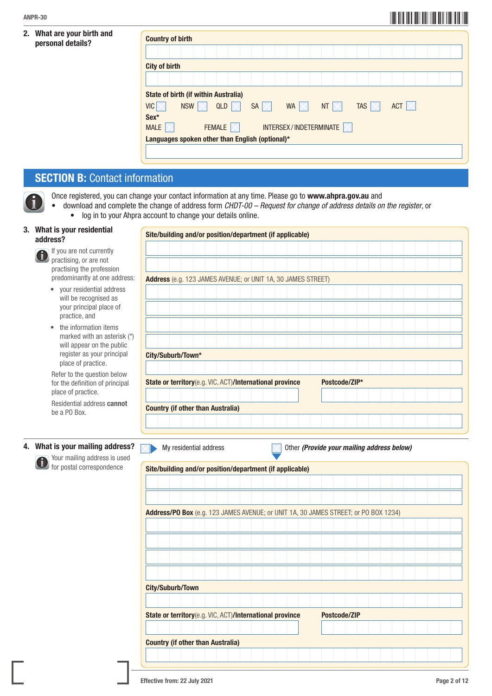### 2. What are your birth and personal details?

| <b>Country of birth</b>                         |                                 |                               |                |
|-------------------------------------------------|---------------------------------|-------------------------------|----------------|
|                                                 |                                 |                               |                |
| <b>City of birth</b>                            |                                 |                               |                |
|                                                 |                                 |                               |                |
| <b>State of birth (if within Australia)</b>     |                                 |                               |                |
| VIC<br><b>NSW</b><br>QLD $\mathbb{R}$           | $SA \times$<br>WA  <br>$\times$ | <b>TAS</b><br><b>NT</b><br>IХ | ACT $ \times $ |
| Sex*                                            |                                 |                               |                |
| <b>FEMALE</b><br><b>MALE</b>                    | INTERSEX/INDETERMINATE          |                               |                |
| Languages spoken other than English (optional)* |                                 |                               |                |

# **SECTION B: Contact information**

Once registered, you can change your contact information at any time. Please go to www.ahpra.gov.au and

• download and complete the change of address form *CHDT-00 – Request for change of address details on the register*, or • log in to your Ahpra account to change your details online.

### 3. What is your residential address?

If you are not currently practising, or are not practising the profession predominantly at one address:

- your residential address will be recognised as your principal place of practice, and
- the information items marked with an asterisk (\*) will appear on the public register as your principal place of practice.

 Refer to the question below for the definition of principal place of practice.

 Residential address cannot be a PO Box.

### 4. What is your mailing address?

 Your mailing address is used for postal correspondence

| Address (e.g. 123 JAMES AVENUE; or UNIT 1A, 30 JAMES STREET)                                                                                                                                                                                                                |                        |  |  |  |  |                                            |               |  |  |  |  |  |
|-----------------------------------------------------------------------------------------------------------------------------------------------------------------------------------------------------------------------------------------------------------------------------|------------------------|--|--|--|--|--------------------------------------------|---------------|--|--|--|--|--|
|                                                                                                                                                                                                                                                                             |                        |  |  |  |  |                                            |               |  |  |  |  |  |
|                                                                                                                                                                                                                                                                             |                        |  |  |  |  |                                            |               |  |  |  |  |  |
|                                                                                                                                                                                                                                                                             |                        |  |  |  |  |                                            |               |  |  |  |  |  |
|                                                                                                                                                                                                                                                                             |                        |  |  |  |  |                                            |               |  |  |  |  |  |
|                                                                                                                                                                                                                                                                             |                        |  |  |  |  |                                            |               |  |  |  |  |  |
| City/Suburb/Town*                                                                                                                                                                                                                                                           |                        |  |  |  |  |                                            |               |  |  |  |  |  |
|                                                                                                                                                                                                                                                                             |                        |  |  |  |  |                                            |               |  |  |  |  |  |
| State or territory(e.g. VIC, ACT)/International province                                                                                                                                                                                                                    |                        |  |  |  |  |                                            | Postcode/ZIP* |  |  |  |  |  |
|                                                                                                                                                                                                                                                                             |                        |  |  |  |  |                                            |               |  |  |  |  |  |
| <b>Country (if other than Australia)</b>                                                                                                                                                                                                                                    |                        |  |  |  |  |                                            |               |  |  |  |  |  |
|                                                                                                                                                                                                                                                                             |                        |  |  |  |  |                                            |               |  |  |  |  |  |
|                                                                                                                                                                                                                                                                             |                        |  |  |  |  |                                            |               |  |  |  |  |  |
|                                                                                                                                                                                                                                                                             | My residential address |  |  |  |  | Other (Provide your mailing address below) |               |  |  |  |  |  |
|                                                                                                                                                                                                                                                                             |                        |  |  |  |  |                                            |               |  |  |  |  |  |
|                                                                                                                                                                                                                                                                             |                        |  |  |  |  |                                            |               |  |  |  |  |  |
|                                                                                                                                                                                                                                                                             |                        |  |  |  |  |                                            |               |  |  |  |  |  |
|                                                                                                                                                                                                                                                                             |                        |  |  |  |  |                                            |               |  |  |  |  |  |
|                                                                                                                                                                                                                                                                             |                        |  |  |  |  |                                            |               |  |  |  |  |  |
|                                                                                                                                                                                                                                                                             |                        |  |  |  |  |                                            |               |  |  |  |  |  |
|                                                                                                                                                                                                                                                                             |                        |  |  |  |  |                                            |               |  |  |  |  |  |
|                                                                                                                                                                                                                                                                             |                        |  |  |  |  |                                            |               |  |  |  |  |  |
|                                                                                                                                                                                                                                                                             |                        |  |  |  |  |                                            |               |  |  |  |  |  |
|                                                                                                                                                                                                                                                                             |                        |  |  |  |  |                                            |               |  |  |  |  |  |
|                                                                                                                                                                                                                                                                             |                        |  |  |  |  |                                            |               |  |  |  |  |  |
|                                                                                                                                                                                                                                                                             |                        |  |  |  |  |                                            |               |  |  |  |  |  |
|                                                                                                                                                                                                                                                                             |                        |  |  |  |  |                                            | Postcode/ZIP  |  |  |  |  |  |
|                                                                                                                                                                                                                                                                             |                        |  |  |  |  |                                            |               |  |  |  |  |  |
| Site/building and/or position/department (if applicable)<br>Address/PO Box (e.g. 123 JAMES AVENUE; or UNIT 1A, 30 JAMES STREET; or PO BOX 1234)<br>City/Suburb/Town<br>State or territory(e.g. VIC, ACT)/International province<br><b>Country (if other than Australia)</b> |                        |  |  |  |  |                                            |               |  |  |  |  |  |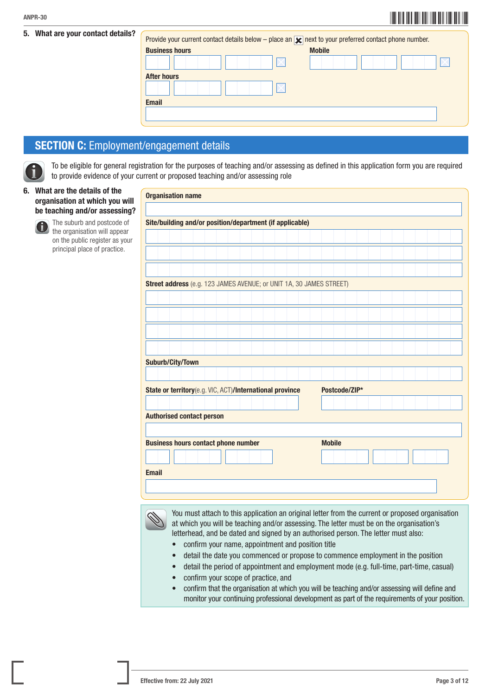### 5. What are your contact details?

| I       | $\parallel$<br>Ш<br>Ш |
|---------|-----------------------|
| ANPR-30 |                       |

| Provide your current contact details below – place an $\blacktriangleright$ next to your preferred contact phone number. |               |
|--------------------------------------------------------------------------------------------------------------------------|---------------|
| <b>Business hours</b>                                                                                                    | <b>Mobile</b> |
|                                                                                                                          |               |
| <b>After hours</b>                                                                                                       |               |
|                                                                                                                          |               |
| <b>Email</b>                                                                                                             |               |
|                                                                                                                          |               |
|                                                                                                                          |               |

# SECTION C: Employment/engagement details

 To be eligible for general registration for the purposes of teaching and/or assessing as defined in this application form you are required to provide evidence of your current or proposed teaching and/or assessing role

### 6. What are the details of the organisation at which you will be teaching and/or assessing?



 The suburb and postcode of the organisation will appear on the public register as your principal place of practice.

|              | <b>Organisation name</b>                                            |  |  |  |  |  |  |               |               |  |  |  |  |  |
|--------------|---------------------------------------------------------------------|--|--|--|--|--|--|---------------|---------------|--|--|--|--|--|
|              |                                                                     |  |  |  |  |  |  |               |               |  |  |  |  |  |
|              | Site/building and/or position/department (if applicable)            |  |  |  |  |  |  |               |               |  |  |  |  |  |
|              |                                                                     |  |  |  |  |  |  |               |               |  |  |  |  |  |
|              |                                                                     |  |  |  |  |  |  |               |               |  |  |  |  |  |
|              |                                                                     |  |  |  |  |  |  |               |               |  |  |  |  |  |
|              |                                                                     |  |  |  |  |  |  |               |               |  |  |  |  |  |
|              | Street address (e.g. 123 JAMES AVENUE; or UNIT 1A, 30 JAMES STREET) |  |  |  |  |  |  |               |               |  |  |  |  |  |
|              |                                                                     |  |  |  |  |  |  |               |               |  |  |  |  |  |
|              |                                                                     |  |  |  |  |  |  |               |               |  |  |  |  |  |
|              |                                                                     |  |  |  |  |  |  |               |               |  |  |  |  |  |
|              |                                                                     |  |  |  |  |  |  |               |               |  |  |  |  |  |
|              |                                                                     |  |  |  |  |  |  |               |               |  |  |  |  |  |
|              | <b>Suburb/City/Town</b>                                             |  |  |  |  |  |  |               |               |  |  |  |  |  |
|              |                                                                     |  |  |  |  |  |  |               |               |  |  |  |  |  |
|              | State or territory(e.g. VIC, ACT)/International province            |  |  |  |  |  |  |               | Postcode/ZIP* |  |  |  |  |  |
|              |                                                                     |  |  |  |  |  |  |               |               |  |  |  |  |  |
|              | <b>Authorised contact person</b>                                    |  |  |  |  |  |  |               |               |  |  |  |  |  |
|              |                                                                     |  |  |  |  |  |  |               |               |  |  |  |  |  |
|              | <b>Business hours contact phone number</b>                          |  |  |  |  |  |  | <b>Mobile</b> |               |  |  |  |  |  |
|              |                                                                     |  |  |  |  |  |  |               |               |  |  |  |  |  |
| <b>Email</b> |                                                                     |  |  |  |  |  |  |               |               |  |  |  |  |  |
|              |                                                                     |  |  |  |  |  |  |               |               |  |  |  |  |  |
|              |                                                                     |  |  |  |  |  |  |               |               |  |  |  |  |  |

 You must attach to this application an original letter from the current or proposed organisation at which you will be teaching and/or assessing. The letter must be on the organisation's letterhead, and be dated and signed by an authorised person. The letter must also:

- confirm your name, appointment and position title
- detail the date you commenced or propose to commence employment in the position
- detail the period of appointment and employment mode (e.g. full-time, part-time, casual)
- confirm your scope of practice, and
- confirm that the organisation at which you will be teaching and/or assessing will define and monitor your continuing professional development as part of the requirements of your position.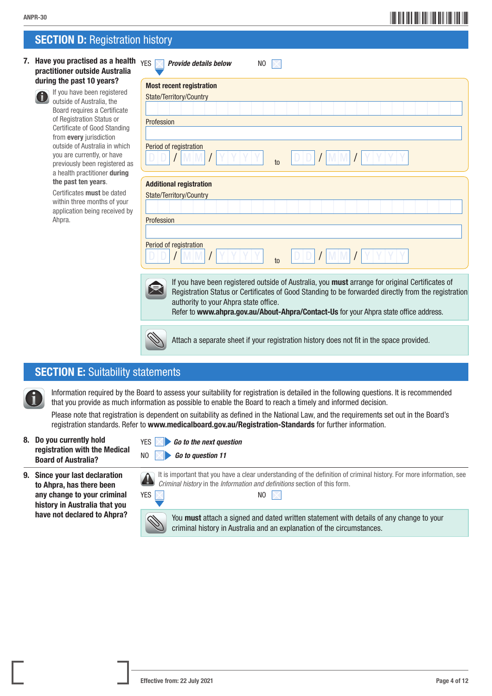# \*ANPR-304\* ANPR-30

# **SECTION D: Registration history**

7. Have you practised as a health practitioner outside Australia during the past 10 years?



 If you have been registered outside of Australia, the Board requires a Certificate of Registration Status or Certificate of Good Standing from every jurisdiction outside of Australia in which you are currently, or have previously been registered as a health practitioner during the past ten years.

Certificates must be dated within three months of your application being received by Ahpra.

| <b>YES</b><br><b>Provide details below</b> | N <sub>0</sub> |       |     |  |  |
|--------------------------------------------|----------------|-------|-----|--|--|
| <b>Most recent registration</b>            |                |       |     |  |  |
| State/Territory/Country                    |                |       |     |  |  |
|                                            |                |       |     |  |  |
| Profession                                 |                |       |     |  |  |
|                                            |                |       |     |  |  |
| Period of registration                     | to             | D/D/L | M M |  |  |
| <b>Additional registration</b>             |                |       |     |  |  |
| State/Territory/Country                    |                |       |     |  |  |
| Profession                                 |                |       |     |  |  |





If you have been registered outside of Australia, you must arrange for original Certificates of Registration Status or Certificates of Good Standing to be forwarded directly from the registration authority to your Ahpra state office.

Refer to www.ahpra.gov.au/About-Ahpra/Contact-Us for your Ahpra state office address.

Attach a separate sheet if your registration history does not fit in the space provided.

## **SECTION E: Suitability statements**

 Information required by the Board to assess your suitability for registration is detailed in the following questions. It is recommended that you provide as much information as possible to enable the Board to reach a timely and informed decision.

Please note that registration is dependent on suitability as defined in the National Law, and the requirements set out in the Board's registration standards. Refer to www.medicalboard.gov.au/Registration-Standards for further information.

- 8. Do you currently hold registration with the Medical Board of Australia?
- 9. Since your last declaration to Ahpra, has there been any change to your criminal history in Australia that you have not declared to Ahpra?

| YES $\boxed{\phantom{1}}$ |  |  |  | <b>60 to the next question</b> |
|---------------------------|--|--|--|--------------------------------|
|---------------------------|--|--|--|--------------------------------|

NO *Go to question 11*



 It is important that you have a clear understanding of the definition of criminal history. For more information, see *Criminal history* in the *Information and definitions* section of this form.



You **must** attach a signed and dated written statement with details of any change to your criminal history in Australia and an explanation of the circumstances.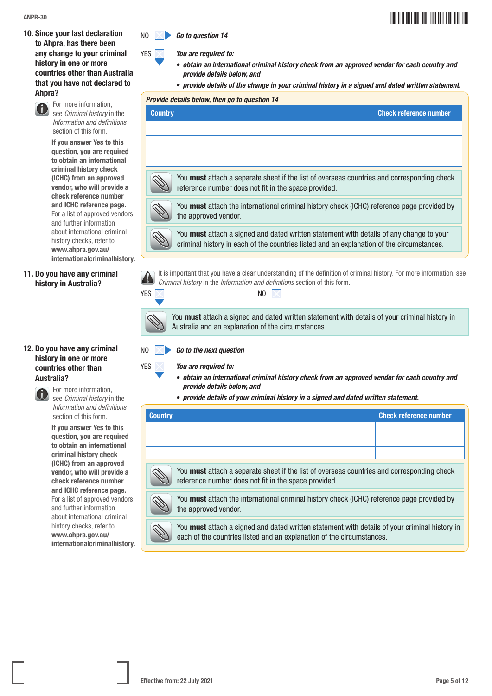10. Since your last declaration to Ahpra, has there been any change to your criminal history in one or more countries other than Australia that you have not declared to Ahpra?



If you answer Yes to this question, you are required to obtain an international criminal history check (ICHC) from an approved vendor, who will provide a check reference number and ICHC reference page. For a list of approved vendors and further information about international criminal history checks, refer to www.ahpra.gov.au/ internationalcriminalhistory.

11. Do you have any criminal history in Australia?





 For more information, see *Criminal history* in the *Information and definitions* section of this form.

If you answer Yes to this question, you are required to obtain an international criminal history check (ICHC) from an approved vendor, who will provide a check reference number and ICHC reference page. For a list of approved vendors and further information about international criminal history checks, refer to www.ahpra.gov.au/ internationalcriminalhistory.

|  | NO <b>Go to question 14</b> |  |
|--|-----------------------------|--|
|--|-----------------------------|--|

- YES *You are required to:*
	- *• obtain an international criminal history check from an approved vendor for each country and provide details below, and*
	- *• provide details of the change in your criminal history in a signed and dated written statement.*

#### *Provide details below, then go to question 14*

| <b>Country</b>                                                                                                                                     | <b>Check reference number</b> |
|----------------------------------------------------------------------------------------------------------------------------------------------------|-------------------------------|
|                                                                                                                                                    |                               |
|                                                                                                                                                    |                               |
|                                                                                                                                                    |                               |
| You must attach a separate sheet if the list of overseas countries and corresponding check<br>reference number does not fit in the space provided. |                               |



You **must** attach the international criminal history check (ICHC) reference page provided by the approved vendor.



You **must** attach a signed and dated written statement with details of any change to your criminal history in each of the countries listed and an explanation of the circumstances.



It is important that you have a clear understanding of the definition of criminal history. For more information, see *Criminal history* in the *Information and definitions* section of this form.



You must attach a signed and dated written statement with details of your criminal history in Australia and an explanation of the circumstances.

- NO *Go to the next question*
- YES *You are required to:*
	- *• obtain an international criminal history check from an approved vendor for each country and provide details below, and*
	- *• provide details of your criminal history in a signed and dated written statement.*

| <b>Country</b>                                                                                                                                     | <b>Check reference number</b> |
|----------------------------------------------------------------------------------------------------------------------------------------------------|-------------------------------|
|                                                                                                                                                    |                               |
|                                                                                                                                                    |                               |
|                                                                                                                                                    |                               |
| You must attach a separate sheet if the list of overseas countries and corresponding check<br>reference number does not fit in the space provided. |                               |
| You must attach the international criminal history check (ICHC) reference page provided by<br>the approved vendor.                                 |                               |
| You must attach a signed and dated written statement with details of your criminal history in                                                      |                               |

each of the countries listed and an explanation of the circumstances.

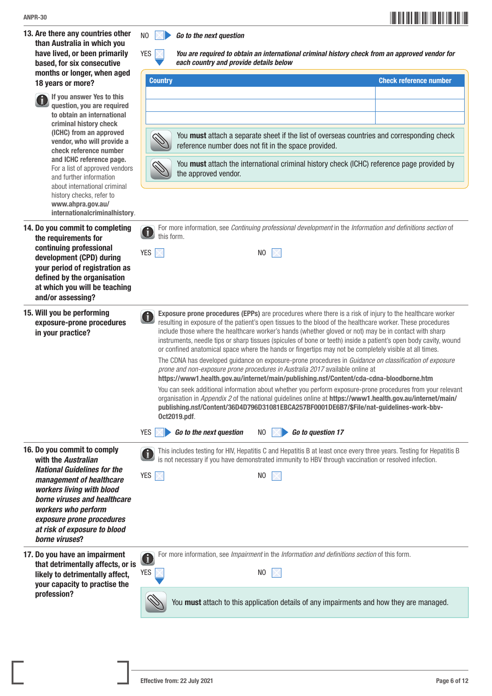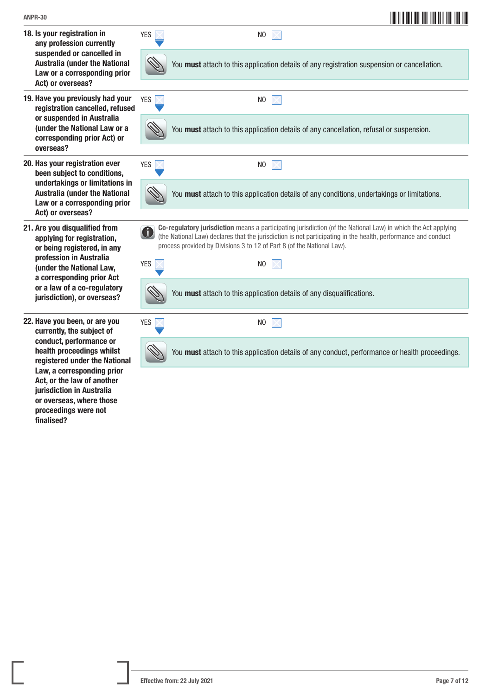Act, or the law of another jurisdiction in Australia or overseas, where those proceedings were not

finalised?

| <b>ANPR-30</b>                                                                                                              |             | <u> III maanda ka mid maalaa ka mid maa</u>                                                                                                                                                                                                                                                              |
|-----------------------------------------------------------------------------------------------------------------------------|-------------|----------------------------------------------------------------------------------------------------------------------------------------------------------------------------------------------------------------------------------------------------------------------------------------------------------|
| 18. Is your registration in<br>any profession currently                                                                     | <b>YES</b>  | N <sub>0</sub>                                                                                                                                                                                                                                                                                           |
| suspended or cancelled in<br><b>Australia (under the National</b><br>Law or a corresponding prior<br>Act) or overseas?      |             | You must attach to this application details of any registration suspension or cancellation.                                                                                                                                                                                                              |
| 19. Have you previously had your<br>registration cancelled, refused                                                         | <b>YES</b>  | N <sub>0</sub>                                                                                                                                                                                                                                                                                           |
| or suspended in Australia<br>(under the National Law or a<br>corresponding prior Act) or<br>overseas?                       |             | You must attach to this application details of any cancellation, refusal or suspension.                                                                                                                                                                                                                  |
| 20. Has your registration ever<br>been subject to conditions,                                                               | <b>YES</b>  | N <sub>0</sub>                                                                                                                                                                                                                                                                                           |
| undertakings or limitations in<br><b>Australia (under the National</b><br>Law or a corresponding prior<br>Act) or overseas? |             | You must attach to this application details of any conditions, undertakings or limitations.                                                                                                                                                                                                              |
| 21. Are you disqualified from<br>applying for registration,<br>or being registered, in any                                  | $\bigoplus$ | Co-regulatory jurisdiction means a participating jurisdiction (of the National Law) in which the Act applying<br>(the National Law) declares that the jurisdiction is not participating in the health, performance and conduct<br>process provided by Divisions 3 to 12 of Part 8 (of the National Law). |
| profession in Australia<br>(under the National Law,<br>a corresponding prior Act                                            | <b>YES</b>  | N <sub>0</sub>                                                                                                                                                                                                                                                                                           |
| or a law of a co-regulatory<br>jurisdiction), or overseas?                                                                  |             | You must attach to this application details of any disqualifications.                                                                                                                                                                                                                                    |
| 22. Have you been, or are you<br>currently, the subject of                                                                  | <b>YES</b>  | N <sub>0</sub>                                                                                                                                                                                                                                                                                           |
| conduct, performance or<br>health proceedings whilst<br>registered under the National                                       |             | You must attach to this application details of any conduct, performance or health proceedings.                                                                                                                                                                                                           |
| Law, a corresponding prior                                                                                                  |             |                                                                                                                                                                                                                                                                                                          |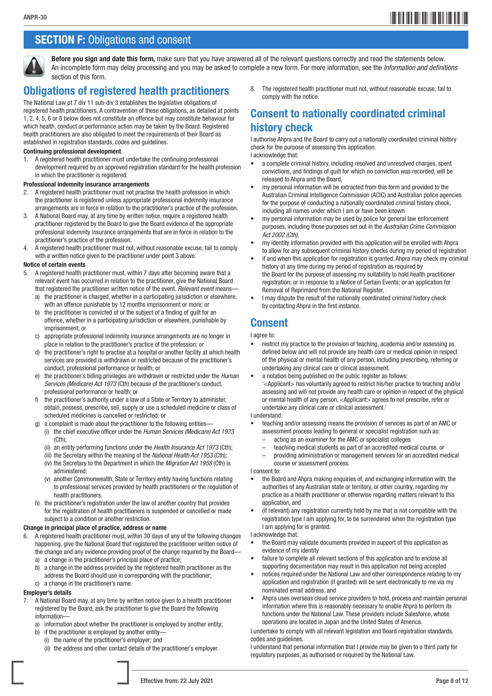# \*ANPR-308\* ANPR-30

# **SECTION F: Obligations and consent**



Before you sign and date this form, make sure that you have answered all of the relevant questions correctly and read the statements below. An incomplete form may delay processing and you may be asked to complete a new form. For more information, see the *Information and definitions*  section of this form.

# Obligations of registered health practitioners

The National Law pt 7 div 11 sub-div 3 establishes the legislative obligations of registered health practitioners. A contravention of these obligations, as detailed at points 1, 2, 4, 5, 6 or 8 below does not constitute an offence but may constitute behaviour for which health, conduct or performance action may be taken by the Board. Registered health practitioners are also obligated to meet the requirements of their Board as established in registration standards, codes and guidelines.

### Continuing professional development

1. A registered health practitioner must undertake the continuing professional development required by an approved registration standard for the health profession in which the practitioner is registered.

#### Professional indemnity insurance arrangements

- 2. A registered health practitioner must not practise the health profession in which the practitioner is registered unless appropriate professional indemnity insurance arrangements are in force in relation to the practitioner's practice of the profession.
- 3. A National Board may, at any time by written notice, require a registered health practitioner registered by the Board to give the Board evidence of the appropriate professional indemnity insurance arrangements that are in force in relation to the practitioner's practice of the profession.
- 4. A registered health practitioner must not, without reasonable excuse, fail to comply with a written notice given to the practitioner under point 3 above.

#### Notice of certain events

- 5. A registered health practitioner must, within 7 days after becoming aware that a relevant event has occurred in relation to the practitioner, give the National Board that registered the practitioner written notice of the event. *Relevant event* means
	- a) the practitioner is charged, whether in a participating jurisdiction or elsewhere, with an offence punishable by 12 months imprisonment or more: or
	- b) the practitioner is convicted of or the subject of a finding of guilt for an offence, whether in a participating jurisdiction or elsewhere, punishable by imprisonment; or
	- c) appropriate professional indemnity insurance arrangements are no longer in place in relation to the practitioner's practice of the profession; or
	- d) the practitioner's right to practise at a hospital or another facility at which health services are provided is withdrawn or restricted because of the practitioner's conduct, professional performance or health; or
	- e) the practitioner's billing privileges are withdrawn or restricted under the *Human Services (Medicare) Act 1973* (Cth) because of the practitioner's conduct, professional performance or health; or
	- f) the practitioner's authority under a law of a State or Territory to administer, obtain, possess, prescribe, sell, supply or use a scheduled medicine or class of scheduled medicines is cancelled or restricted; or
	- g) a complaint is made about the practitioner to the following entities—
		- (i) the chief executive officer under the *Human Services (Medicare) Act 1973* (Cth);
		- (ii) an entity performing functions under the *Health Insurance Act 1973* (Cth);
		- (iii) the Secretary within the meaning of the *National Health Act 1953* (Cth);
		- (iv) the Secretary to the Department in which the *Migration Act 1958* (Cth) is administered;
		- (v) another Commonwealth, State or Territory entity having functions relating to professional services provided by health practitioners or the regulation of health practitioners.
	- h) the practitioner's registration under the law of another country that provides for the registration of health practitioners is suspended or cancelled or made subject to a condition or another restriction.

#### Change in principal place of practice, address or name

- 6. A registered health practitioner must, within 30 days of any of the following changes happening, give the National Board that registered the practitioner written notice of the change and any evidence providing proof of the change required by the Board
	- a) a change in the practitioner's principal place of practice;
	- b) a change in the address provided by the registered health practitioner as the address the Board should use in corresponding with the practitioner;
	- c) a change in the practitioner's name.

### Employer's details

- A National Board may, at any time by written notice given to a health practitioner registered by the Board, ask the practitioner to give the Board the following information
	- a) information about whether the practitioner is employed by another entity;
	- b) if the practitioner is employed by another entity—
		- (i) the name of the practitioner's employer; and
		- (ii) the address and other contact details of the practitioner's employer.

8. The registered health practitioner must not, without reasonable excuse, fail to comply with the notice.

# Consent to nationally coordinated criminal history check

I authorise Ahpra and the Board to carry out a nationally coordinated criminal history check for the purpose of assessing this application.

I acknowledge that:

- a complete criminal history, including resolved and unresolved charges, spent convictions, and findings of guilt for which no conviction was recorded, will be released to Ahpra and the Board,
- my personal information will be extracted from this form and provided to the Australian Criminal Intelligence Commission (ACIC) and Australian police agencies for the purpose of conducting a nationally coordinated criminal history check, including all names under which I am or have been known
- my personal information may be used by police for general law enforcement purposes, including those purposes set out in the *Australian Crime Commission Act 2002 (Cth)*,
- my identity information provided with this application will be enrolled with Ahpra to allow for any subsequent criminal history checks during my period of registration
- if and when this application for registration is granted, Ahpra may check my criminal history at any time during my period of registration as required by the Board for the purpose of assessing my suitability to hold health practitioner registration; or in response to a Notice of Certain Events; or an application for Removal of Reprimand from the National Register,
- I may dispute the result of the nationally coordinated criminal history check by contacting Ahpra in the first instance.

### Consent

#### I agree to:

- restrict my practice to the provision of teaching, academia and/or assessing as defined below and will not provide any health care or medical opinion in respect of the physical or mental health of any person, including prescribing, referring or undertaking any clinical care or clinical assessment.
- a notation being published on the public register as follows: '<Applicant> has voluntarily agreed to restrict his/her practice to teaching and/or assessing and will not provide any health care or opinion in respect of the physical or mental health of any person. <Applicant> agrees to not prescribe, refer or undertake any clinical care or clinical assessment.'

#### I understand:

- teaching and/or assessing means the provision of services as part of an AMC or assessment process leading to general or specialist registration such as:
	- acting as an examiner for the AMC or specialist colleges
	- teaching medical students as part of an accredited medical course, or
	- providing administration or management services for an accredited medical course or assessment process.

I consent to:

- the Board and Ahpra making enquiries of, and exchanging information with, the authorities of any Australian state or territory, or other country, regarding my practice as a health practitioner or otherwise regarding matters relevant to this application, and
- (if relevant) any registration currently held by me that is not compatible with the registration type I am applying for, to be surrendered when the registration type I am applying for is granted.

#### I acknowledge that:

- the Board may validate documents provided in support of this application as evidence of my identity
- failure to complete all relevant sections of this application and to enclose all supporting documentation may result in this application not being accepted
- notices required under the National Law and other correspondence relating to my application and registration (if granted) will be sent electronically to me via my nominated email address, and
- Ahpra uses overseas cloud service providers to hold, process and maintain personal information where this is reasonably necessary to enable Ahpra to perform its functions under the National Law. These providers include Salesforce, whose operations are located in Japan and the United States of America.

I undertake to comply with all relevant legislation and Board registration standards, codes and guidelines.

I understand that personal information that I provide may be given to a third party for regulatory purposes, as authorised or required by the National Law.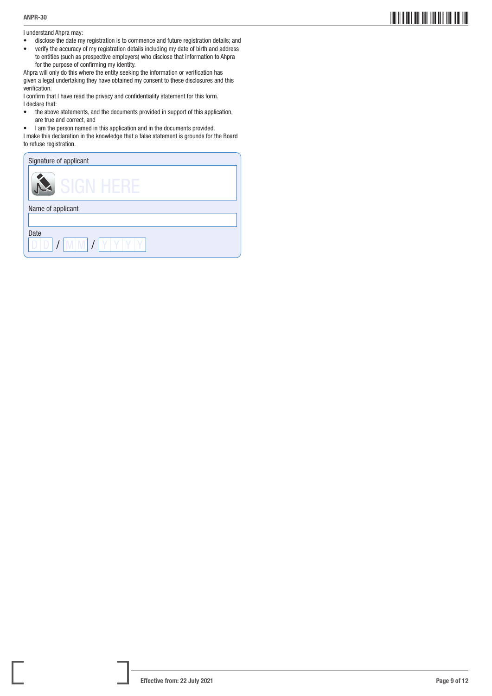I understand Ahpra may:

- disclose the date my registration is to commence and future registration details; and<br>• verify the accuracy of my registration details including my date of birth and address
- verify the accuracy of my registration details including my date of birth and address to entities (such as prospective employers) who disclose that information to Ahpra for the purpose of confirming my identity.

Ahpra will only do this where the entity seeking the information or verification has given a legal undertaking they have obtained my consent to these disclosures and this verification.

I confirm that I have read the privacy and confidentiality statement for this form. I declare that:

- the above statements, and the documents provided in support of this application, are true and correct, and
- I am the person named in this application and in the documents provided.

I make this declaration in the knowledge that a false statement is grounds for the Board to refuse registration.

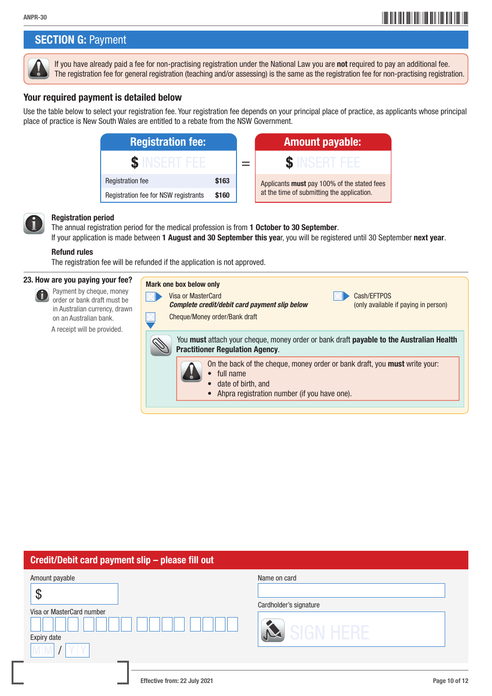# ANPR-30<br>ANPR-30

# **SECTION G: Payment**



If you have already paid a fee for non-practising registration under the National Law you are not required to pay an additional fee. The registration fee for general registration (teaching and/or assessing) is the same as the registration fee for non-practising registration.

### Your required payment is detailed below

Use the table below to select your registration fee. Your registration fee depends on your principal place of practice, as applicants whose principal place of practice is New South Wales are entitled to a rebate from the NSW Government.





G

### Registration period

The annual registration period for the medical profession is from 1 October to 30 September. If your application is made between 1 August and 30 September this year, you will be registered until 30 September next year.

### Refund rules

The registration fee will be refunded if the application is not approved.

### 23. How are you paying your fee?

 Payment by cheque, money order or bank draft must be in Australian currency, drawn on an Australian bank.

A receipt will be provided.

| Mark one box below only<br>Visa or MasterCard<br>Complete credit/debit card payment slip below<br>Cheque/Money order/Bank draft                                                  | Cash/EFTPOS<br>(only available if paying in person) |  |  |  |
|----------------------------------------------------------------------------------------------------------------------------------------------------------------------------------|-----------------------------------------------------|--|--|--|
| You <b>must</b> attach your cheque, money order or bank draft <b>payable to the Australian Health</b><br><b>Practitioner Regulation Agency.</b>                                  |                                                     |  |  |  |
| On the back of the cheque, money order or bank draft, you <b>must</b> write your:<br>$\bullet$ full name<br>date of birth, and<br>• Ahpra registration number (if you have one). |                                                     |  |  |  |

| Credit/Debit card payment slip - please fill out                                         |                                                     |  |  |  |  |
|------------------------------------------------------------------------------------------|-----------------------------------------------------|--|--|--|--|
| Amount payable<br>$\boldsymbol{\mathcal{S}}$<br>Visa or MasterCard number<br>Expiry date | Name on card<br>Cardholder's signature<br>SIGN HERE |  |  |  |  |
| Effective from: 22 July 2021                                                             | Page 10 of 12                                       |  |  |  |  |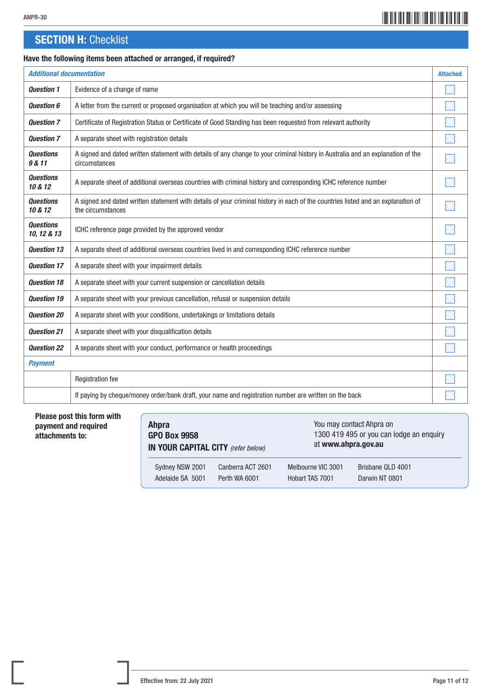# \*ANPR-3011\* ANPR-30

# **SECTION H: Checklist**

### Have the following items been attached or arranged, if required?

| <b>Additional documentation</b> |                                                                                                                                                       | <b>Attached</b> |
|---------------------------------|-------------------------------------------------------------------------------------------------------------------------------------------------------|-----------------|
| <b>Question 1</b>               | Evidence of a change of name                                                                                                                          |                 |
| <b>Question 6</b>               | A letter from the current or proposed organisation at which you will be teaching and/or assessing                                                     |                 |
| <b>Question 7</b>               | Certificate of Registration Status or Certificate of Good Standing has been requested from relevant authority                                         |                 |
| <b>Question 7</b>               | A separate sheet with registration details                                                                                                            |                 |
| <b>Questions</b><br>9 & 11      | A signed and dated written statement with details of any change to your criminal history in Australia and an explanation of the<br>circumstances      |                 |
| <b>Questions</b><br>10 & 12     | A separate sheet of additional overseas countries with criminal history and corresponding ICHC reference number                                       |                 |
| <b>Questions</b><br>10 & 12     | A signed and dated written statement with details of your criminal history in each of the countries listed and an explanation of<br>the circumstances |                 |
| <b>Ouestions</b><br>10, 12 & 13 | ICHC reference page provided by the approved vendor                                                                                                   |                 |
| <b>Ouestion 13</b>              | A separate sheet of additional overseas countries lived in and corresponding ICHC reference number                                                    |                 |
| <b>Question 17</b>              | A separate sheet with your impairment details                                                                                                         |                 |
| <b>Question 18</b>              | A separate sheet with your current suspension or cancellation details                                                                                 |                 |
| <b>Ouestion 19</b>              | A separate sheet with your previous cancellation, refusal or suspension details                                                                       |                 |
| <b>Question 20</b>              | A separate sheet with your conditions, undertakings or limitations details                                                                            |                 |
| <b>Question 21</b>              | A separate sheet with your disqualification details                                                                                                   |                 |
| <b>Question 22</b>              | A separate sheet with your conduct, performance or health proceedings                                                                                 |                 |
| <b>Payment</b>                  |                                                                                                                                                       |                 |
|                                 | <b>Registration fee</b>                                                                                                                               |                 |
|                                 | If paying by cheque/money order/bank draft, your name and registration number are written on the back                                                 |                 |

### Please post this form with payment and required attachments to:

| <b>Ahpra</b>                       |                   | You may contact Ahpra on                 |                   |
|------------------------------------|-------------------|------------------------------------------|-------------------|
| <b>GPO Box 9958</b>                |                   | 1300 419 495 or you can lodge an enquiry |                   |
| IN YOUR CAPITAL CITY (refer below) |                   | at www.ahpra.gov.au                      |                   |
| Sydney NSW 2001                    | Canberra ACT 2601 | Melbourne VIC 3001                       | Brisbane QLD 4001 |
| Adelaide SA 5001                   | Perth WA 6001     | Hobart TAS 7001                          | Darwin NT 0801    |